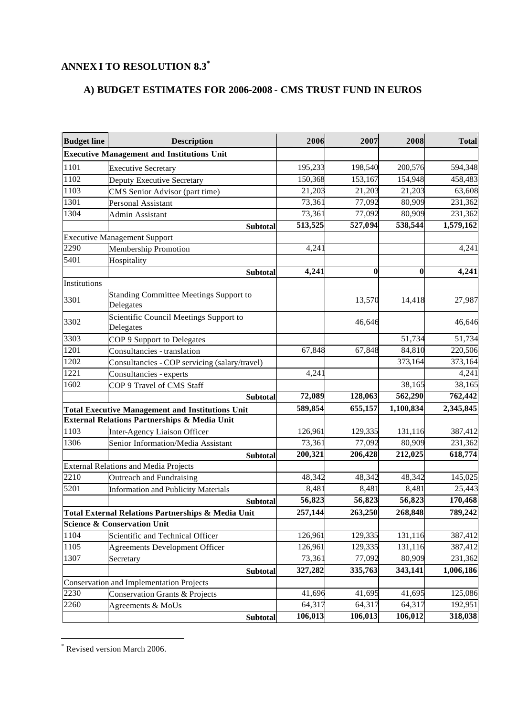## **ANNEX I TO RESOLUTION 8.3\***

## **A) BUDGET ESTIMATES FOR 2006-2008** - **CMS TRUST FUND IN EUROS**

| <b>Budget line</b> | <b>Description</b>                                         | 2006    | 2007     | 2008      | <b>Total</b> |
|--------------------|------------------------------------------------------------|---------|----------|-----------|--------------|
|                    | <b>Executive Management and Institutions Unit</b>          |         |          |           |              |
| 1101               | <b>Executive Secretary</b>                                 | 195,233 | 198,540  | 200,576   | 594,348      |
| 1102               | <b>Deputy Executive Secretary</b>                          | 150,368 | 153,167  | 154,948   | 458,483      |
| 1103               | CMS Senior Advisor (part time)                             | 21,203  | 21,203   | 21,203    | 63,608       |
| 1301               | Personal Assistant                                         | 73,361  | 77,092   | 80,909    | 231,362      |
| 1304               | Admin Assistant                                            | 73,361  | 77,092   | 80,909    | 231,362      |
|                    | <b>Subtotal</b>                                            | 513,525 | 527,094  | 538,544   | 1,579,162    |
|                    | <b>Executive Management Support</b>                        |         |          |           |              |
| 2290               | <b>Membership Promotion</b>                                | 4,241   |          |           | 4,241        |
| 5401               | Hospitality                                                |         |          |           |              |
|                    | <b>Subtotal</b>                                            | 4,241   | $\bf{0}$ | $\bf{0}$  | 4,241        |
| Institutions       |                                                            |         |          |           |              |
| 3301               | <b>Standing Committee Meetings Support to</b><br>Delegates |         | 13,570   | 14,418    | 27,987       |
| 3302               | Scientific Council Meetings Support to<br>Delegates        |         | 46,646   |           | 46,646       |
| 3303               | COP 9 Support to Delegates                                 |         |          | 51,734    | 51,734       |
| 1201               | Consultancies - translation                                | 67,848  | 67,848   | 84,810    | 220,506      |
| 1202               | Consultancies - COP servicing (salary/travel)              |         |          | 373,164   | 373,164      |
| 1221               | Consultancies - experts                                    | 4,241   |          |           | 4,241        |
| 1602               | COP 9 Travel of CMS Staff                                  |         |          | 38,165    | 38,165       |
|                    | <b>Subtotal</b>                                            | 72,089  | 128,063  | 562,290   | 762,442      |
|                    | <b>Total Executive Management and Institutions Unit</b>    | 589,854 | 655,157  | 1,100,834 | 2,345,845    |
|                    | External Relations Partnerships & Media Unit               |         |          |           |              |
| 1103               | Inter-Agency Liaison Officer                               | 126,961 | 129,335  | 131,116   | 387,412      |
| 1306               | Senior Information/Media Assistant                         | 73,361  | 77,092   | 80,909    | 231,362      |
|                    | Subtotal                                                   | 200,321 | 206,428  | 212,025   | 618,774      |
|                    | <b>External Relations and Media Projects</b>               |         |          |           |              |
| 2210               | Outreach and Fundraising                                   | 48,342  | 48,342   | 48,342    | 145,025      |
| 5201               | <b>Information and Publicity Materials</b>                 | 8,481   | 8,481    | 8,481     | 25,443       |
|                    | <b>Subtotal</b>                                            | 56,823  | 56,823   | 56,823    | 170,468      |
|                    | Total External Relations Partnerships & Media Unit         | 257,144 | 263,250  | 268,848   | 789,242      |
|                    | <b>Science &amp; Conservation Unit</b>                     |         |          |           |              |
| 1104               | Scientific and Technical Officer                           | 126,961 | 129,335  | 131,116   | 387,412      |
| 1105               | <b>Agreements Development Officer</b>                      | 126,961 | 129,335  | 131,116   | 387,412      |
| 1307               | Secretary                                                  | 73,361  | 77,092   | 80,909    | 231,362      |
|                    | <b>Subtotal</b>                                            | 327,282 | 335,763  | 343,141   | 1,006,186    |
|                    | <b>Conservation and Implementation Projects</b>            |         |          |           |              |
| 2230               | <b>Conservation Grants &amp; Projects</b>                  | 41,696  | 41,695   | 41,695    | 125,086      |
| 2260               | Agreements & MoUs                                          | 64,317  | 64,317   | 64,317    | 192,951      |
|                    | <b>Subtotal</b>                                            | 106,013 | 106,013  | 106,012   | 318,038      |

<sup>\*</sup> Revised version March 2006.

l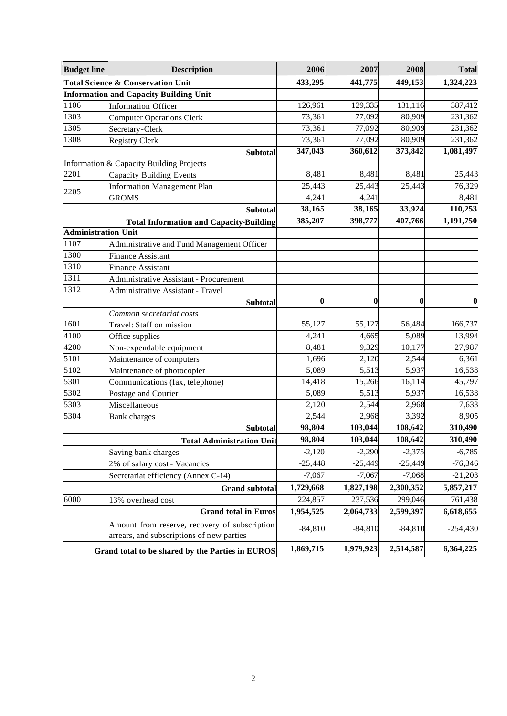| <b>Budget line</b>         | <b>Description</b>                                                                         | 2006      | 2007      | 2008      | <b>Total</b> |
|----------------------------|--------------------------------------------------------------------------------------------|-----------|-----------|-----------|--------------|
|                            | <b>Total Science &amp; Conservation Unit</b>                                               | 433,295   | 441,775   | 449,153   | 1,324,223    |
|                            | <b>Information and Capacity-Building Unit</b>                                              |           |           |           |              |
| 1106                       | <b>Information Officer</b>                                                                 | 126,961   | 129,335   | 131,116   | 387,412      |
| 1303                       | <b>Computer Operations Clerk</b>                                                           | 73,361    | 77,092    | 80,909    | 231,362      |
| 1305                       | Secretary-Clerk                                                                            | 73,361    | 77,092    | 80,909    | 231,362      |
| 1308                       | <b>Registry Clerk</b>                                                                      | 73,361    | 77,092    | 80,909    | 231,362      |
|                            | Subtotal                                                                                   | 347,043   | 360,612   | 373,842   | 1,081,497    |
|                            | Information & Capacity Building Projects                                                   |           |           |           |              |
| 2201                       | <b>Capacity Building Events</b>                                                            | 8,481     | 8,481     | 8,481     | 25,443       |
| 2205                       | <b>Information Management Plan</b>                                                         | 25,443    | 25,443    | 25,443    | 76,329       |
|                            | <b>GROMS</b>                                                                               | 4,241     | 4,241     |           | 8,481        |
|                            | <b>Subtotal</b>                                                                            | 38,165    | 38,165    | 33,924    | 110,253      |
|                            | <b>Total Information and Capacity-Building</b>                                             | 385,207   | 398,777   | 407,766   | 1,191,750    |
| <b>Administration Unit</b> |                                                                                            |           |           |           |              |
| 1107                       | Administrative and Fund Management Officer                                                 |           |           |           |              |
| 1300                       | <b>Finance Assistant</b>                                                                   |           |           |           |              |
| 1310                       | <b>Finance Assistant</b>                                                                   |           |           |           |              |
| 1311                       | <b>Administrative Assistant - Procurement</b>                                              |           |           |           |              |
| 1312                       | Administrative Assistant - Travel                                                          |           |           |           |              |
|                            | <b>Subtotal</b>                                                                            | 0         | $\bf{0}$  | 0         | 0            |
|                            | Common secretariat costs                                                                   |           |           |           |              |
| 1601                       | Travel: Staff on mission                                                                   | 55,127    | 55,127    | 56,484    | 166,737      |
| 4100                       | Office supplies                                                                            | 4,241     | 4,665     | 5,089     | 13,994       |
| $\frac{1}{4200}$           | Non-expendable equipment                                                                   | 8,481     | 9,329     | 10,177    | 27,987       |
| 5101                       | Maintenance of computers                                                                   | 1,696     | 2,120     | 2,544     | 6,361        |
| 5102                       | Maintenance of photocopier                                                                 | 5,089     | 5,513     | 5,937     | 16,538       |
| 5301                       | Communications (fax, telephone)                                                            | 14,418    | 15,266    | 16,114    | 45,797       |
| 5302                       | Postage and Courier                                                                        | 5,089     | 5,513     | 5,937     | 16,538       |
| 5303                       | Miscellaneous                                                                              | 2,120     | 2,544     | 2,968     | 7,633        |
| 5304                       | <b>Bank</b> charges                                                                        | 2,544     | 2,968     | 3,392     | 8,905        |
|                            | <b>Subtotal</b>                                                                            | 98,804    | 103,044   | 108,642   | 310,490      |
|                            | <b>Total Administration Unit</b>                                                           | 98,804    | 103,044   | 108,642   | 310,490      |
|                            | Saving bank charges                                                                        | $-2,120$  | $-2,290$  | $-2,375$  | $-6,785$     |
|                            | 2% of salary cost - Vacancies                                                              | $-25,448$ | $-25,449$ | $-25,449$ | $-76,346$    |
|                            | Secretariat efficiency (Annex C-14)                                                        | $-7,067$  | $-7,067$  | $-7,068$  | $-21,203$    |
|                            | <b>Grand subtotal</b>                                                                      | 1,729,668 | 1,827,198 | 2,300,352 | 5,857,217    |
| 6000                       | 13% overhead cost                                                                          | 224,857   | 237,536   | 299,046   | 761,438      |
|                            | <b>Grand total in Euros</b>                                                                | 1,954,525 | 2,064,733 | 2,599,397 | 6,618,655    |
|                            | Amount from reserve, recovery of subscription<br>arrears, and subscriptions of new parties | $-84,810$ | $-84,810$ | $-84,810$ | $-254,430$   |
|                            | Grand total to be shared by the Parties in EUROS                                           | 1,869,715 | 1,979,923 | 2,514,587 | 6,364,225    |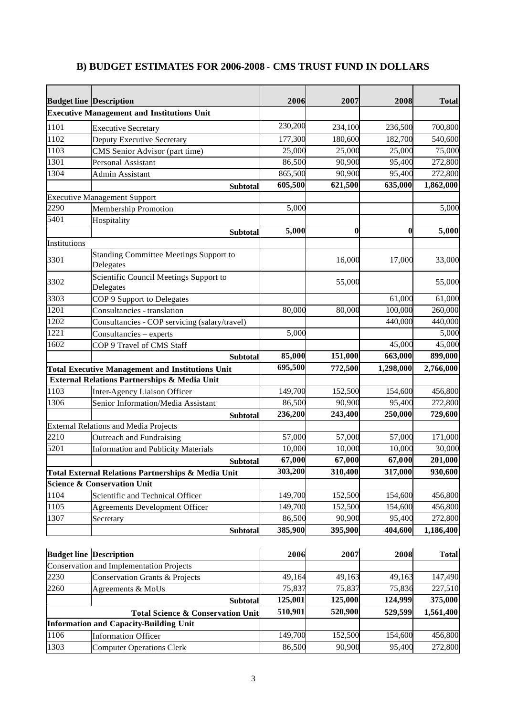| <b>B) BUDGET ESTIMATES FOR 2006-2008 - CMS TRUST FUND IN DOLLARS</b> |  |
|----------------------------------------------------------------------|--|
|----------------------------------------------------------------------|--|

| <b>Budget line Description</b> |                                                            | 2006    | 2007             | 2008      | <b>Total</b> |
|--------------------------------|------------------------------------------------------------|---------|------------------|-----------|--------------|
|                                | <b>Executive Management and Institutions Unit</b>          |         |                  |           |              |
| 1101                           | <b>Executive Secretary</b>                                 | 230,200 | 234,100          | 236,500   | 700,800      |
| 1102                           | Deputy Executive Secretary                                 | 177,300 | 180,600          | 182,700   | 540,600      |
| 1103                           | CMS Senior Advisor (part time)                             | 25,000  | 25,000           | 25,000    | 75,000       |
| 1301                           | Personal Assistant                                         | 86,500  | 90,900           | 95,400    | 272,800      |
| 1304                           | Admin Assistant                                            | 865,500 | 90,900           | 95,400    | 272,800      |
|                                | <b>Subtotal</b>                                            | 605,500 | 621,500          | 635,000   | 1,862,000    |
|                                | <b>Executive Management Support</b>                        |         |                  |           |              |
| 2290                           | <b>Membership Promotion</b>                                | 5,000   |                  |           | 5,000        |
| 5401                           | Hospitality                                                |         |                  |           |              |
|                                | <b>Subtotal</b>                                            | 5,000   | $\boldsymbol{0}$ | $\bf{0}$  | 5,000        |
| Institutions                   |                                                            |         |                  |           |              |
| 3301                           | <b>Standing Committee Meetings Support to</b><br>Delegates |         | 16,000           | 17,000    | 33,000       |
| 3302                           | Scientific Council Meetings Support to<br>Delegates        |         | 55,000           |           | 55,000       |
| 3303                           | COP 9 Support to Delegates                                 |         |                  | 61,000    | 61,000       |
| 1201                           | Consultancies - translation                                | 80,000  | 80,000           | 100,000   | 260,000      |
| 1202                           | Consultancies - COP servicing (salary/travel)              |         |                  | 440,000   | 440,000      |
| 1221                           | Consultancies – experts                                    | 5,000   |                  |           | 5,000        |
| 1602                           | COP 9 Travel of CMS Staff                                  |         |                  | 45,000    | 45,000       |
|                                | <b>Subtotal</b>                                            | 85,000  | 151,000          | 663,000   | 899,000      |
|                                | <b>Total Executive Management and Institutions Unit</b>    | 695,500 | 772,500          | 1,298,000 | 2,766,000    |
|                                | External Relations Partnerships & Media Unit               |         |                  |           |              |
| 1103                           | Inter-Agency Liaison Officer                               | 149,700 | 152,500          | 154,600   | 456,800      |
| 1306                           | Senior Information/Media Assistant                         | 86,500  | 90,900           | 95,400    | 272,800      |
|                                | <b>Subtotal</b>                                            | 236,200 | 243,400          | 250,000   | 729,600      |
|                                | <b>External Relations and Media Projects</b>               |         |                  |           |              |
| 2210                           | Outreach and Fundraising                                   | 57,000  | 57,000           | 57,000    | 171,000      |
| 5201                           | <b>Information and Publicity Materials</b>                 | 10,000  | 10,000           | 10,000    | 30,000       |
|                                | <b>Subtotal</b>                                            | 67,000  | 67,000           | 67,000    | 201,000      |
|                                | Total External Relations Partnerships & Media Unit         | 303,200 | 310,400          | 317,000   | 930,600      |
|                                | <b>Science &amp; Conservation Unit</b>                     |         |                  |           |              |
| 1104                           | Scientific and Technical Officer                           | 149,700 | 152,500          | 154,600   | 456,800      |
| 1105                           | <b>Agreements Development Officer</b>                      | 149,700 | 152,500          | 154,600   | 456,800      |
| 1307                           | Secretary                                                  | 86,500  | 90,900           | 95,400    | 272,800      |
|                                | <b>Subtotal</b>                                            | 385,900 | 395,900          | 404,600   | 1,186,400    |
| <b>Budget line Description</b> |                                                            | 2006    | 2007             | 2008      | <b>Total</b> |
|                                | Conservation and Implementation Projects                   |         |                  |           |              |
| 2230                           | Conservation Grants & Projects                             | 49,164  | 49,163           | 49,163    | 147,490      |
| 2260                           | Agreements & MoUs                                          | 75,837  | 75,837           | 75,836    | 227,510      |
|                                | <b>Subtotal</b>                                            | 125,001 | 125,000          | 124,999   | 375,000      |

1106 Information Officer 149,700 152,500 154,600 456,800<br>1303 Computer Operations Clerk 86,500 90,900 95,400 272,800

**Information and Capacity-Building Unit**

**Computer Operations Clerk** 

**Total Science & Conservation Unit 510,901 520,900 529,599 1,561,400**